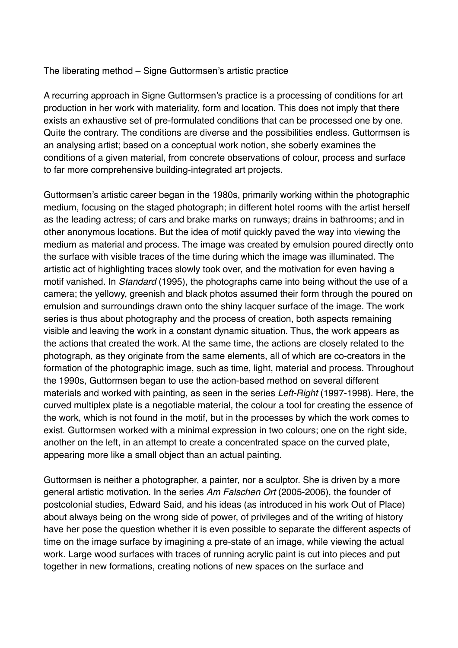The liberating method – Signe Guttormsen's artistic practice

A recurring approach in Signe Guttormsen's practice is a processing of conditions for art production in her work with materiality, form and location. This does not imply that there exists an exhaustive set of pre-formulated conditions that can be processed one by one. Quite the contrary. The conditions are diverse and the possibilities endless. Guttormsen is an analysing artist; based on a conceptual work notion, she soberly examines the conditions of a given material, from concrete observations of colour, process and surface to far more comprehensive building-integrated art projects.

Guttormsen's artistic career began in the 1980s, primarily working within the photographic medium, focusing on the staged photograph; in different hotel rooms with the artist herself as the leading actress; of cars and brake marks on runways; drains in bathrooms; and in other anonymous locations. But the idea of motif quickly paved the way into viewing the medium as material and process. The image was created by emulsion poured directly onto the surface with visible traces of the time during which the image was illuminated. The artistic act of highlighting traces slowly took over, and the motivation for even having a motif vanished. In *Standard* (1995), the photographs came into being without the use of a camera; the yellowy, greenish and black photos assumed their form through the poured on emulsion and surroundings drawn onto the shiny lacquer surface of the image. The work series is thus about photography and the process of creation, both aspects remaining visible and leaving the work in a constant dynamic situation. Thus, the work appears as the actions that created the work. At the same time, the actions are closely related to the photograph, as they originate from the same elements, all of which are co-creators in the formation of the photographic image, such as time, light, material and process. Throughout the 1990s, Guttormsen began to use the action-based method on several different materials and worked with painting, as seen in the series *Left-Right* (1997-1998). Here, the curved multiplex plate is a negotiable material, the colour a tool for creating the essence of the work, which is not found in the motif, but in the processes by which the work comes to exist. Guttormsen worked with a minimal expression in two colours; one on the right side, another on the left, in an attempt to create a concentrated space on the curved plate, appearing more like a small object than an actual painting.

Guttormsen is neither a photographer, a painter, nor a sculptor. She is driven by a more general artistic motivation. In the series *Am Falschen Ort* (2005-2006), the founder of postcolonial studies, Edward Said, and his ideas (as introduced in his work Out of Place) about always being on the wrong side of power, of privileges and of the writing of history have her pose the question whether it is even possible to separate the different aspects of time on the image surface by imagining a pre-state of an image, while viewing the actual work. Large wood surfaces with traces of running acrylic paint is cut into pieces and put together in new formations, creating notions of new spaces on the surface and